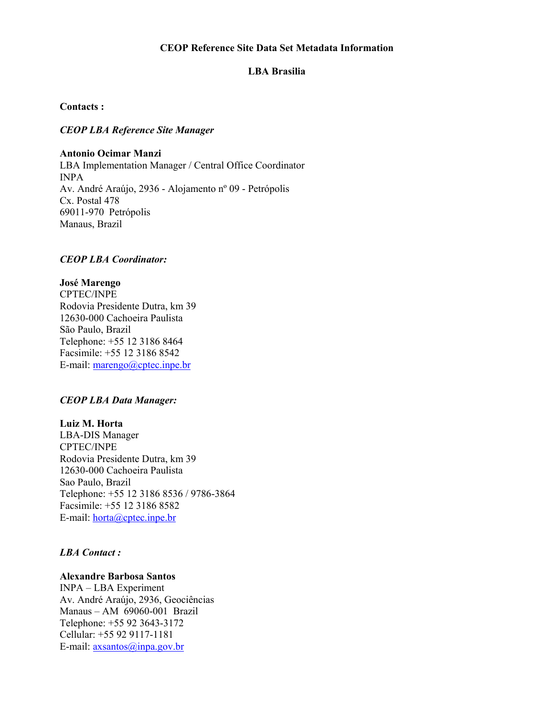### **CEOP Reference Site Data Set Metadata Information**

### **LBA Brasilia**

#### **Contacts :**

### *CEOP LBA Reference Site Manager*

### **Antonio Ocimar Manzi**

LBA Implementation Manager / Central Office Coordinator INPA Av. André Araújo, 2936 - Alojamento nº 09 - Petrópolis Cx. Postal 478 69011-970 Petrópolis Manaus, Brazil

### *CEOP LBA Coordinator:*

### **José Marengo**

CPTEC/INPE Rodovia Presidente Dutra, km 39 12630-000 Cachoeira Paulista São Paulo, Brazil Telephone: +55 12 3186 8464 Facsimile: +55 12 3186 8542 E-mail: marengo@cptec.inpe.br

## *CEOP LBA Data Manager:*

**Luiz M. Horta**  LBA-DIS Manager CPTEC/INPE Rodovia Presidente Dutra, km 39 12630-000 Cachoeira Paulista Sao Paulo, Brazil Telephone: +55 12 3186 8536 / 9786-3864 Facsimile: +55 12 3186 8582 E-mail: horta@cptec.inpe.br

## *LBA Contact :*

### **Alexandre Barbosa Santos**

INPA – LBA Experiment Av. André Araújo, 2936, Geociências Manaus – AM 69060-001 Brazil Telephone: +55 92 3643-3172 Cellular: +55 92 9117-1181 E-mail: axsantos@inpa.gov.br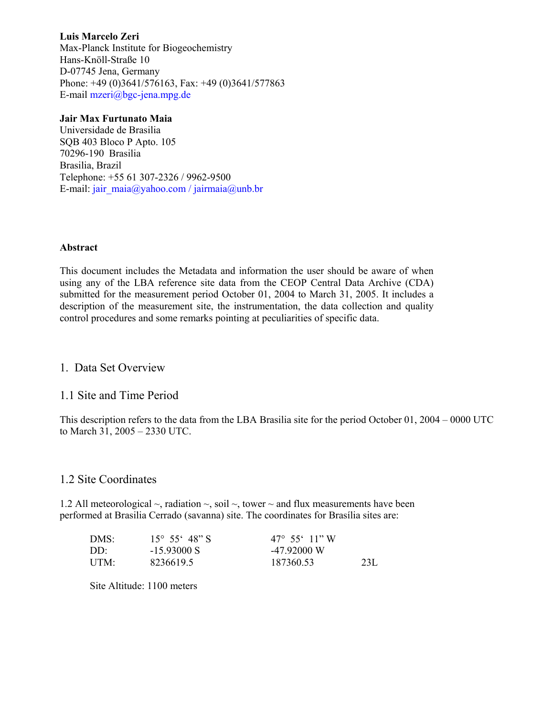#### **Luis Marcelo Zeri**

Max-Planck Institute for Biogeochemistry Hans-Knöll-Straße 10 D-07745 Jena, Germany Phone: +49 (0)3641/576163, Fax: +49 (0)3641/577863 E-mail mzeri@bgc-jena.mpg.de

### **Jair Max Furtunato Maia**

Universidade de Brasilia SQB 403 Bloco P Apto. 105 70296-190 Brasilia Brasilia, Brazil Telephone: +55 61 307-2326 / 9962-9500 E-mail: jair\_maia@yahoo.com / jairmaia@unb.br

#### **Abstract**

This document includes the Metadata and information the user should be aware of when using any of the LBA reference site data from the CEOP Central Data Archive (CDA) submitted for the measurement period October 01, 2004 to March 31, 2005. It includes a description of the measurement site, the instrumentation, the data collection and quality control procedures and some remarks pointing at peculiarities of specific data.

# 1. Data Set Overview

## 1.1 Site and Time Period

This description refers to the data from the LBA Brasilia site for the period October 01, 2004 – 0000 UTC to March 31, 2005 – 2330 UTC.

## 1.2 Site Coordinates

1.2 All meteorological  $\sim$ , radiation  $\sim$ , soil  $\sim$ , tower  $\sim$  and flux measurements have been performed at Brasilia Cerrado (savanna) site. The coordinates for Brasília sites are:

| DMS: | $15^{\circ}$ 55' 48" S | 47° 55′ 11″ W |     |
|------|------------------------|---------------|-----|
| DD:  | $-1593000S$            | -47.92000 W   |     |
| UTM: | 8236619.5              | 187360.53     | 23L |

Site Altitude: 1100 meters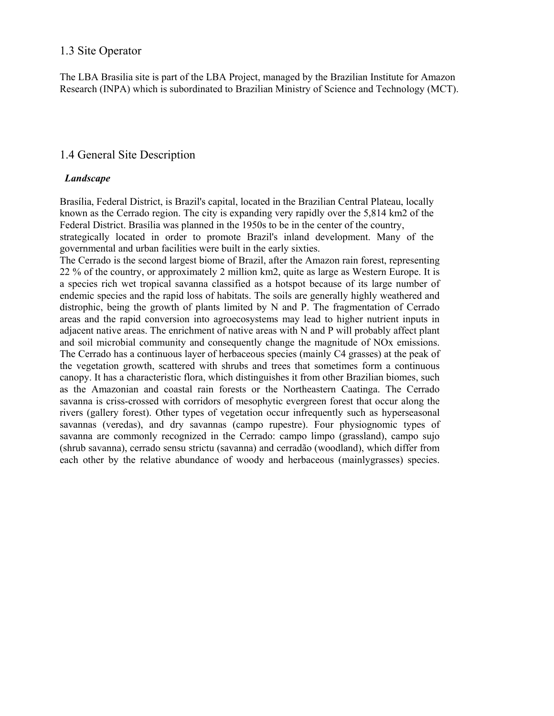# 1.3 Site Operator

The LBA Brasilia site is part of the LBA Project, managed by the Brazilian Institute for Amazon Research (INPA) which is subordinated to Brazilian Ministry of Science and Technology (MCT).

# 1.4 General Site Description

### *Landscape*

Brasília, Federal District, is Brazil's capital, located in the Brazilian Central Plateau, locally known as the Cerrado region. The city is expanding very rapidly over the 5,814 km2 of the Federal District. Brasília was planned in the 1950s to be in the center of the country,

strategically located in order to promote Brazil's inland development. Many of the governmental and urban facilities were built in the early sixties.

The Cerrado is the second largest biome of Brazil, after the Amazon rain forest, representing 22 % of the country, or approximately 2 million km2, quite as large as Western Europe. It is a species rich wet tropical savanna classified as a hotspot because of its large number of endemic species and the rapid loss of habitats. The soils are generally highly weathered and distrophic, being the growth of plants limited by N and P. The fragmentation of Cerrado areas and the rapid conversion into agroecosystems may lead to higher nutrient inputs in adjacent native areas. The enrichment of native areas with N and P will probably affect plant and soil microbial community and consequently change the magnitude of NOx emissions. The Cerrado has a continuous layer of herbaceous species (mainly C4 grasses) at the peak of the vegetation growth, scattered with shrubs and trees that sometimes form a continuous canopy. It has a characteristic flora, which distinguishes it from other Brazilian biomes, such as the Amazonian and coastal rain forests or the Northeastern Caatinga. The Cerrado savanna is criss-crossed with corridors of mesophytic evergreen forest that occur along the rivers (gallery forest). Other types of vegetation occur infrequently such as hyperseasonal savannas (veredas), and dry savannas (campo rupestre). Four physiognomic types of savanna are commonly recognized in the Cerrado: campo limpo (grassland), campo sujo (shrub savanna), cerrado sensu strictu (savanna) and cerradão (woodland), which differ from each other by the relative abundance of woody and herbaceous (mainlygrasses) species.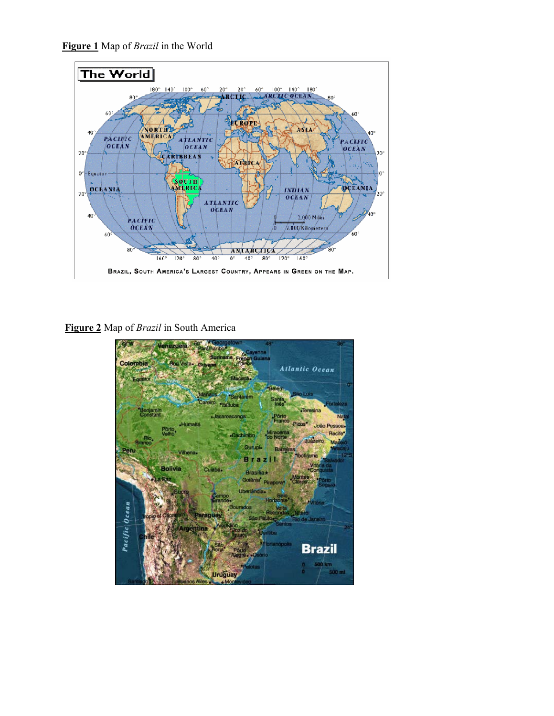



**Figure 2** Map of *Brazil* in South America

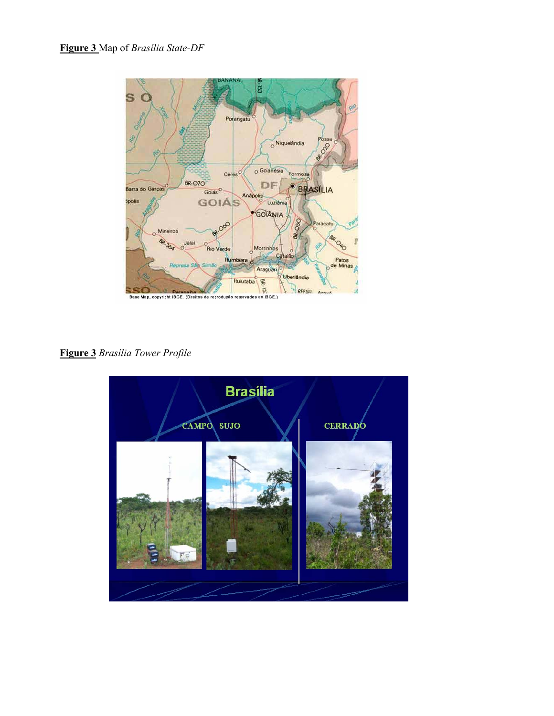

**Figure 3** *Brasília Tower Profile*

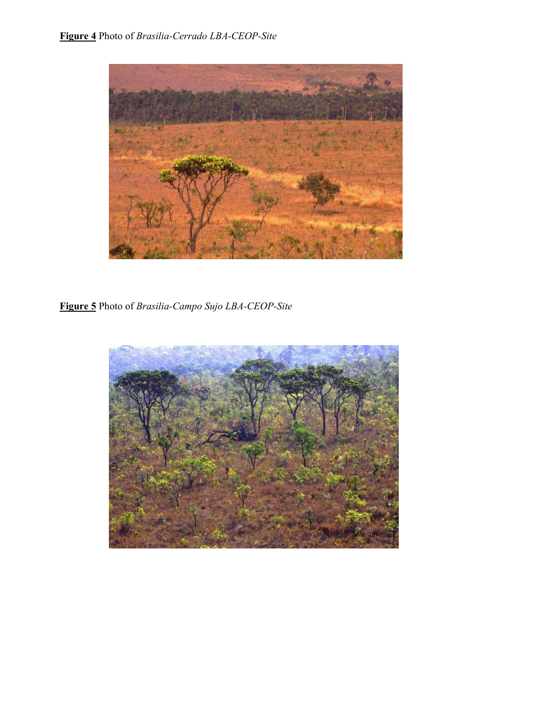

**Figure 5** Photo of *Brasilia-Campo Sujo LBA-CEOP-Site*

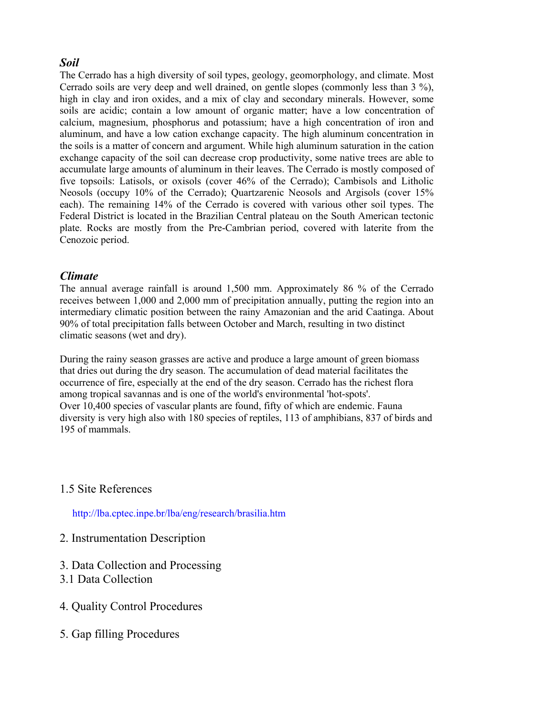## *Soil*

The Cerrado has a high diversity of soil types, geology, geomorphology, and climate. Most Cerrado soils are very deep and well drained, on gentle slopes (commonly less than 3 %), high in clay and iron oxides, and a mix of clay and secondary minerals. However, some soils are acidic; contain a low amount of organic matter; have a low concentration of calcium, magnesium, phosphorus and potassium; have a high concentration of iron and aluminum, and have a low cation exchange capacity. The high aluminum concentration in the soils is a matter of concern and argument. While high aluminum saturation in the cation exchange capacity of the soil can decrease crop productivity, some native trees are able to accumulate large amounts of aluminum in their leaves. The Cerrado is mostly composed of five topsoils: Latisols, or oxisols (cover 46% of the Cerrado); Cambisols and Litholic Neosols (occupy 10% of the Cerrado); Quartzarenic Neosols and Argisols (cover 15% each). The remaining 14% of the Cerrado is covered with various other soil types. The Federal District is located in the Brazilian Central plateau on the South American tectonic plate. Rocks are mostly from the Pre-Cambrian period, covered with laterite from the Cenozoic period.

# *Climate*

The annual average rainfall is around 1,500 mm. Approximately 86 % of the Cerrado receives between 1,000 and 2,000 mm of precipitation annually, putting the region into an intermediary climatic position between the rainy Amazonian and the arid Caatinga. About 90% of total precipitation falls between October and March, resulting in two distinct climatic seasons (wet and dry).

During the rainy season grasses are active and produce a large amount of green biomass that dries out during the dry season. The accumulation of dead material facilitates the occurrence of fire, especially at the end of the dry season. Cerrado has the richest flora among tropical savannas and is one of the world's environmental 'hot-spots'. Over 10,400 species of vascular plants are found, fifty of which are endemic. Fauna diversity is very high also with 180 species of reptiles, 113 of amphibians, 837 of birds and 195 of mammals.

# 1.5 Site References

http://lba.cptec.inpe.br/lba/eng/research/brasilia.htm

- 2. Instrumentation Description
- 3. Data Collection and Processing
- 3.1 Data Collection
- 4. Quality Control Procedures
- 5. Gap filling Procedures